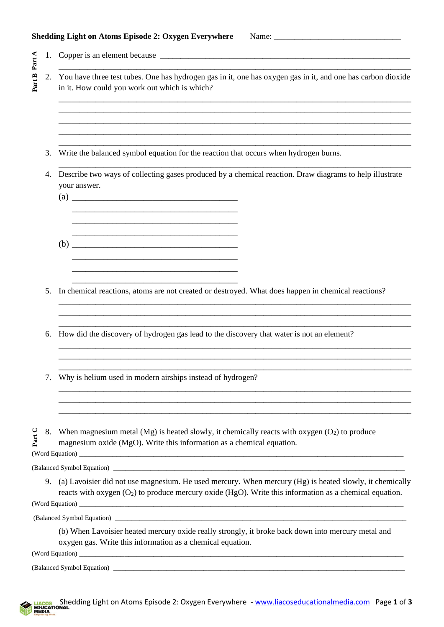## **Shedding Light on Atoms Episode 2: Oxygen Everywhere** Name: \_\_\_\_\_\_\_\_\_\_\_\_\_\_\_\_\_\_\_\_\_\_\_\_\_\_\_\_\_\_\_

|               | 1.                                                                                              |                                                                                                                                                                                                                         |  |  |  |  |
|---------------|-------------------------------------------------------------------------------------------------|-------------------------------------------------------------------------------------------------------------------------------------------------------------------------------------------------------------------------|--|--|--|--|
| Part B Part A | 2.                                                                                              | You have three test tubes. One has hydrogen gas in it, one has oxygen gas in it, and one has carbon dioxide<br>in it. How could you work out which is which?                                                            |  |  |  |  |
|               |                                                                                                 |                                                                                                                                                                                                                         |  |  |  |  |
|               | 3.                                                                                              | Write the balanced symbol equation for the reaction that occurs when hydrogen burns.                                                                                                                                    |  |  |  |  |
|               | 4.                                                                                              | Describe two ways of collecting gases produced by a chemical reaction. Draw diagrams to help illustrate<br>your answer.                                                                                                 |  |  |  |  |
|               |                                                                                                 |                                                                                                                                                                                                                         |  |  |  |  |
|               | 5.                                                                                              | In chemical reactions, atoms are not created or destroyed. What does happen in chemical reactions?                                                                                                                      |  |  |  |  |
|               | How did the discovery of hydrogen gas lead to the discovery that water is not an element?<br>6. |                                                                                                                                                                                                                         |  |  |  |  |
|               | 7.                                                                                              | Why is helium used in modern airships instead of hydrogen?                                                                                                                                                              |  |  |  |  |
| Part C        | 8.                                                                                              | When magnesium metal (Mg) is heated slowly, it chemically reacts with oxygen $(O_2)$ to produce<br>magnesium oxide (MgO). Write this information as a chemical equation.                                                |  |  |  |  |
|               |                                                                                                 |                                                                                                                                                                                                                         |  |  |  |  |
|               |                                                                                                 | 9. (a) Lavoisier did not use magnesium. He used mercury. When mercury (Hg) is heated slowly, it chemically<br>reacts with oxygen $(O_2)$ to produce mercury oxide (HgO). Write this information as a chemical equation. |  |  |  |  |
|               |                                                                                                 |                                                                                                                                                                                                                         |  |  |  |  |
|               |                                                                                                 | (b) When Lavoisier heated mercury oxide really strongly, it broke back down into mercury metal and<br>oxygen gas. Write this information as a chemical equation.                                                        |  |  |  |  |
|               |                                                                                                 |                                                                                                                                                                                                                         |  |  |  |  |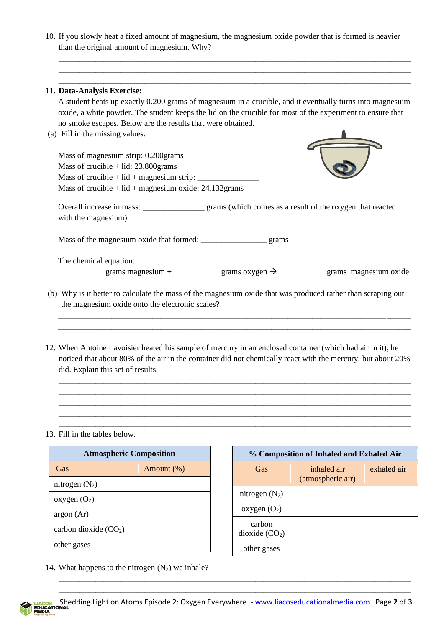10. If you slowly heat a fixed amount of magnesium, the magnesium oxide powder that is formed is heavier than the original amount of magnesium. Why?

\_\_\_\_\_\_\_\_\_\_\_\_\_\_\_\_\_\_\_\_\_\_\_\_\_\_\_\_\_\_\_\_\_\_\_\_\_\_\_\_\_\_\_\_\_\_\_\_\_\_\_\_\_\_\_\_\_\_\_\_\_\_\_\_\_\_\_\_\_\_\_\_\_\_\_\_\_\_\_\_\_\_\_\_\_\_

|                                                                                                                                                                                                                         | 11. Data-Analysis Exercise:                                                                                                                                                                                                                                    |  |  |  |  |
|-------------------------------------------------------------------------------------------------------------------------------------------------------------------------------------------------------------------------|----------------------------------------------------------------------------------------------------------------------------------------------------------------------------------------------------------------------------------------------------------------|--|--|--|--|
| A student heats up exactly 0.200 grams of magnesium in a crucible, and it eventually turns into magnesium<br>oxide, a white powder. The student keeps the lid on the crucible for most of the experiment to ensure that |                                                                                                                                                                                                                                                                |  |  |  |  |
|                                                                                                                                                                                                                         |                                                                                                                                                                                                                                                                |  |  |  |  |
|                                                                                                                                                                                                                         | (a) Fill in the missing values.                                                                                                                                                                                                                                |  |  |  |  |
|                                                                                                                                                                                                                         |                                                                                                                                                                                                                                                                |  |  |  |  |
|                                                                                                                                                                                                                         | Mass of magnesium strip: 0.200 grams                                                                                                                                                                                                                           |  |  |  |  |
|                                                                                                                                                                                                                         | Mass of crucible $+$ lid: 23.800 grams                                                                                                                                                                                                                         |  |  |  |  |
|                                                                                                                                                                                                                         |                                                                                                                                                                                                                                                                |  |  |  |  |
|                                                                                                                                                                                                                         | Mass of crucible + $lid$ + magnesium oxide: 24.132 grams                                                                                                                                                                                                       |  |  |  |  |
|                                                                                                                                                                                                                         | Overall increase in mass: _________________ grams (which comes as a result of the oxygen that reacted<br>with the magnesium)                                                                                                                                   |  |  |  |  |
|                                                                                                                                                                                                                         |                                                                                                                                                                                                                                                                |  |  |  |  |
|                                                                                                                                                                                                                         |                                                                                                                                                                                                                                                                |  |  |  |  |
|                                                                                                                                                                                                                         | The chemical equation:                                                                                                                                                                                                                                         |  |  |  |  |
|                                                                                                                                                                                                                         | grams magnesium + _______________ grams oxygen $\rightarrow$ ______________ grams magnesium oxide                                                                                                                                                              |  |  |  |  |
|                                                                                                                                                                                                                         | (b) Why is it better to calculate the mass of the magnesium oxide that was produced rather than scraping out<br>the magnesium oxide onto the electronic scales?                                                                                                |  |  |  |  |
|                                                                                                                                                                                                                         | 12. When Antoine Lavoisier heated his sample of mercury in an enclosed container (which had air in it), he<br>noticed that about 80% of the air in the container did not chemically react with the mercury, but about 20%<br>did. Explain this set of results. |  |  |  |  |

\_\_\_\_\_\_\_\_\_\_\_\_\_\_\_\_\_\_\_\_\_\_\_\_\_\_\_\_\_\_\_\_\_\_\_\_\_\_\_\_\_\_\_\_\_\_\_\_\_\_\_\_\_\_\_\_\_\_\_\_\_\_\_\_\_\_\_\_\_\_\_\_\_\_\_\_\_\_\_\_\_\_\_\_\_\_

13. Fill in the tables below.

| <b>Atmospheric Composition</b> |            |  |  |  |
|--------------------------------|------------|--|--|--|
| Gas                            | Amount (%) |  |  |  |
| nitrogen $(N_2)$               |            |  |  |  |
| oxygen $(O_2)$                 |            |  |  |  |
| argon (Ar)                     |            |  |  |  |
| carbon dioxide $(CO2)$         |            |  |  |  |
| other gases                    |            |  |  |  |

| % Composition of Inhaled and Exhaled Air |                                  |             |  |  |  |
|------------------------------------------|----------------------------------|-------------|--|--|--|
| Gas                                      | inhaled air<br>(atmospheric air) | exhaled air |  |  |  |
| nitrogen $(N_2)$                         |                                  |             |  |  |  |
| oxygen $(O_2)$                           |                                  |             |  |  |  |
| carbon<br>dioxide (CO <sub>2</sub> )     |                                  |             |  |  |  |
| other gases                              |                                  |             |  |  |  |

14. What happens to the nitrogen  $(N_2)$  we inhale?

\_\_\_\_\_\_\_\_\_\_\_\_\_\_\_\_\_\_\_\_\_\_\_\_\_\_\_\_\_\_\_\_\_\_\_\_\_\_\_\_\_\_\_\_\_\_\_\_\_\_\_\_\_\_\_\_\_\_\_\_\_\_\_\_\_\_\_\_\_\_\_\_\_\_\_\_\_\_\_\_\_\_\_\_\_\_ \_\_\_\_\_\_\_\_\_\_\_\_\_\_\_\_\_\_\_\_\_\_\_\_\_\_\_\_\_\_\_\_\_\_\_\_\_\_\_\_\_\_\_\_\_\_\_\_\_\_\_\_\_\_\_\_\_\_\_\_\_\_\_\_\_\_\_\_\_\_\_\_\_\_\_\_\_\_\_\_\_\_\_\_\_\_